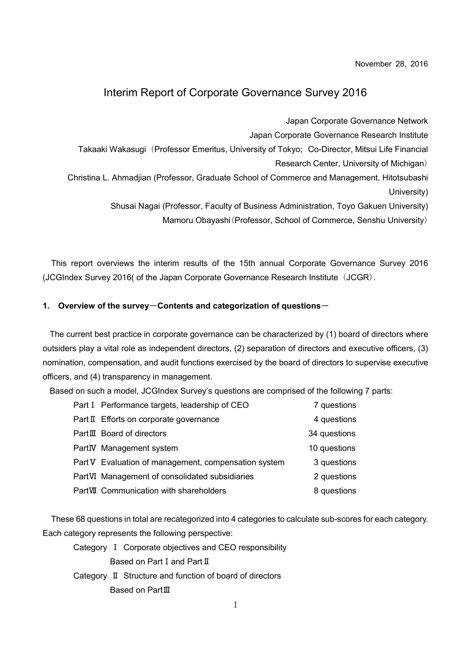November 28, 2016

### Interim Report of Corporate Governance Survey 2016

Japan Corporate Governance Network

Japan Corporate Governance Research Institute

Takaaki Wakasugi (Professor Emeritus, University of Tokyo; Co-Director, Mitsui Life Financial

Research Center, University of Michigan)

Christina L. Ahmadjian (Professor, Graduate School of Commerce and Management, Hitotsubashi University)

Shusai Nagai (Professor, Faculty of Business Administration, Toyo Gakuen University)

Mamoru Obayashi(Professor, School of Commerce, Senshu University)

This report overviews the interim results of the 15th annual Corporate Governance Survey 2016 (JCGIndex Survey 2016( of the Japan Corporate Governance Research Institute (JCGR).

#### 1. Overview of the survey-Contents and categorization of questions-

The current best practice in corporate governance can be characterized by (1) board of directors where outsiders play a vital role as independent directors, (2) separation of directors and executive officers, (3) nomination, compensation, and audit functions exercised by the board of directors to supervise executive officers, and (4) transparency in management.

Based on such a model, JCGIndex Survey's questions are comprised of the following 7 parts:

| Part I Performance targets, leadership of CEO        | 7 questions  |
|------------------------------------------------------|--------------|
| Part II Efforts on corporate governance              | 4 questions  |
| PartIII Board of directors                           | 34 questions |
| PartIV Management system                             | 10 questions |
| Part V Evaluation of management, compensation system | 3 questions  |
| PartVI Management of consolidated subsidiaries       | 2 questions  |
| PartVII Communication with shareholders              | 8 questions  |

These 68 questions in total are recategorized into 4 categories to calculate sub-scores for each category. Each category represents the following perspective:

- Category Ⅰ Corporate objectives and CEO responsibility Based on Part Ⅰ and Part Ⅱ
- Category Ⅱ Structure and function of board of directors Based on PartⅢ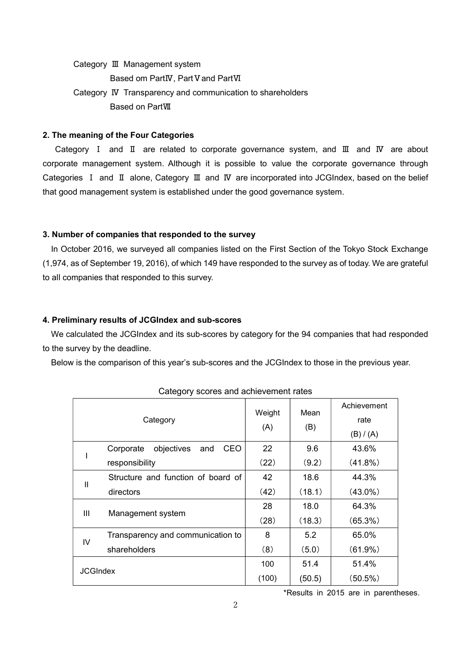Category Ⅲ Management system

Based om PartIV, Part V and PartVI

Category Ⅳ Transparency and communication to shareholders

Based on PartⅦ

#### 2. The meaning of the Four Categories

 Category Ⅰ and Ⅱ are related to corporate governance system, and Ⅲ and Ⅳ are about corporate management system. Although it is possible to value the corporate governance through Categories Ⅰ and Ⅱ alone, Category Ⅲ and Ⅳ are incorporated into JCGIndex, based on the belief that good management system is established under the good governance system.

#### 3. Number of companies that responded to the survey

In October 2016, we surveyed all companies listed on the First Section of the Tokyo Stock Exchange (1,974, as of September 19, 2016), of which 149 have responded to the survey as of today. We are grateful to all companies that responded to this survey.

### 4. Preliminary results of JCGIndex and sub-scores

We calculated the JCGIndex and its sub-scores by category for the 94 companies that had responded to the survey by the deadline.

Below is the comparison of this year's sub-scores and the JCGIndex to those in the previous year.

| Category        |                                       | Weight<br>(A) | Mean<br>(B) | Achievement |
|-----------------|---------------------------------------|---------------|-------------|-------------|
|                 |                                       |               |             | rate        |
|                 |                                       |               |             | (B) / (A)   |
|                 | objectives<br>CEO<br>Corporate<br>and | 22            | 9.6         | 43.6%       |
|                 | responsibility                        | (22)          | (9.2)       | (41.8%)     |
| $\mathbf{I}$    | Structure and function of board of    | 42            | 18.6        | 44.3%       |
|                 | directors                             | (42)          | (18.1)      | $(43.0\%)$  |
| III             | Management system                     | 28            | 18.0        | 64.3%       |
|                 |                                       | (28)          | (18.3)      | $(65.3\%)$  |
| IV              | Transparency and communication to     | 8             | 5.2         | 65.0%       |
|                 | shareholders                          | (8)           | (5.0)       | (61.9%)     |
| <b>JCGIndex</b> |                                       | 100           | 51.4        | 51.4%       |
|                 |                                       | (100)         | (50.5)      | (50.5%)     |

Category scores and achievement rates

\*Results in 2015 are in parentheses.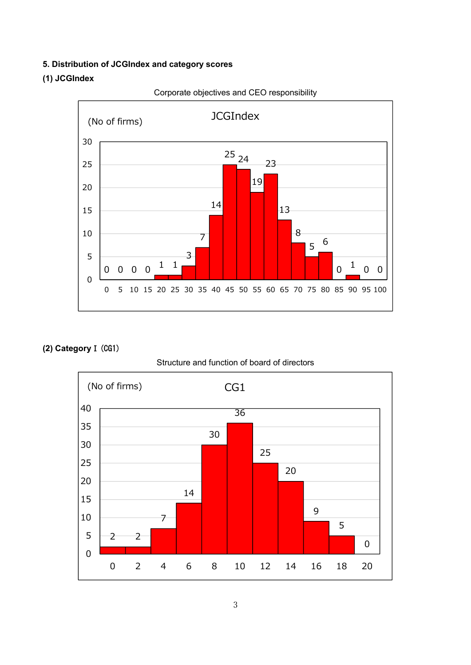### 5. Distribution of JCGIndex and category scores

### (1) JCGIndex



Corporate objectives and CEO responsibility

## (2) CategoryⅠ(CG1)

### Structure and function of board of directors

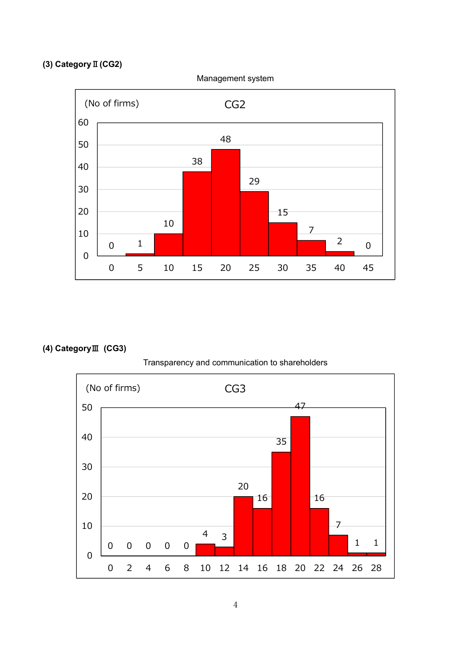# (3) CategoryⅡ(CG2)



## (4) CategoryⅢ (CG3)

Transparency and communication to shareholders